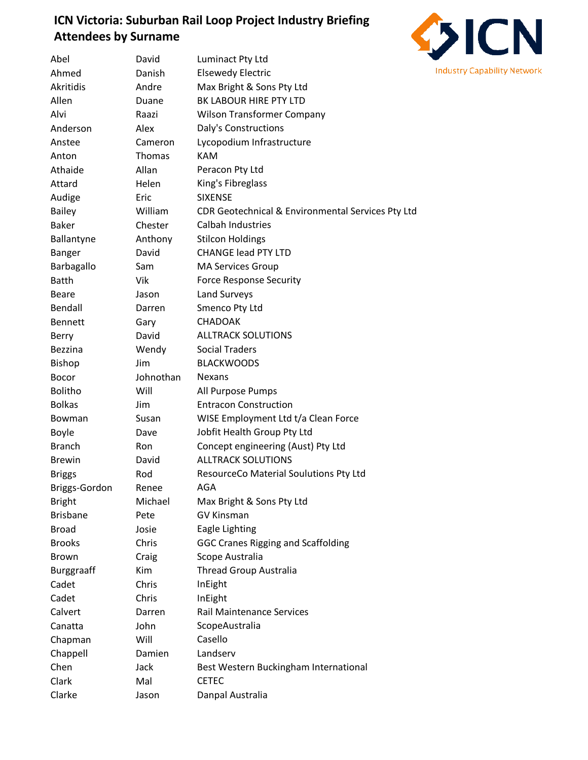## **ICN Victoria: Suburban Rail Loop Project Industry Briefing Attendees by Surname**



| Abel              | David      | Luminact Pty Ltd                                  |
|-------------------|------------|---------------------------------------------------|
| Ahmed             | Danish     | <b>Elsewedy Electric</b>                          |
| Akritidis         | Andre      | Max Bright & Sons Pty Ltd                         |
| Allen             | Duane      | BK LABOUR HIRE PTY LTD                            |
| Alvi              | Raazi      | <b>Wilson Transformer Company</b>                 |
| Anderson          | Alex       | Daly's Constructions                              |
| Anstee            | Cameron    | Lycopodium Infrastructure                         |
| Anton             | Thomas     | <b>KAM</b>                                        |
| Athaide           | Allan      | Peracon Pty Ltd                                   |
| Attard            | Helen      | King's Fibreglass                                 |
| Audige            | Eric       | <b>SIXENSE</b>                                    |
| Bailey            | William    | CDR Geotechnical & Environmental Services Pty Ltd |
| <b>Baker</b>      | Chester    | Calbah Industries                                 |
| Ballantyne        | Anthony    | <b>Stilcon Holdings</b>                           |
| Banger            | David      | <b>CHANGE lead PTY LTD</b>                        |
| Barbagallo        | Sam        | <b>MA Services Group</b>                          |
| <b>Batth</b>      | Vik        | <b>Force Response Security</b>                    |
| Beare             | Jason      | Land Surveys                                      |
| Bendall           | Darren     | Smenco Pty Ltd                                    |
| <b>Bennett</b>    | Gary       | <b>CHADOAK</b>                                    |
| Berry             | David      | <b>ALLTRACK SOLUTIONS</b>                         |
| <b>Bezzina</b>    | Wendy      | <b>Social Traders</b>                             |
| Bishop            | Jim        | <b>BLACKWOODS</b>                                 |
| Bocor             | Johnothan  | <b>Nexans</b>                                     |
| <b>Bolitho</b>    | Will       | All Purpose Pumps                                 |
| <b>Bolkas</b>     | <b>Jim</b> | <b>Entracon Construction</b>                      |
| <b>Bowman</b>     | Susan      | WISE Employment Ltd t/a Clean Force               |
| <b>Boyle</b>      | Dave       | Jobfit Health Group Pty Ltd                       |
| <b>Branch</b>     | <b>Ron</b> | Concept engineering (Aust) Pty Ltd                |
| <b>Brewin</b>     | David      | <b>ALLTRACK SOLUTIONS</b>                         |
| <b>Briggs</b>     | Rod        | ResourceCo Material Soulutions Pty Ltd            |
| Briggs-Gordon     | Renee      | AGA                                               |
| <b>Bright</b>     | Michael    | Max Bright & Sons Pty Ltd                         |
| <b>Brisbane</b>   | Pete       | <b>GV Kinsman</b>                                 |
| <b>Broad</b>      | Josie      | Eagle Lighting                                    |
| <b>Brooks</b>     | Chris      | <b>GGC Cranes Rigging and Scaffolding</b>         |
| <b>Brown</b>      | Craig      | Scope Australia                                   |
| <b>Burggraaff</b> | Kim        | <b>Thread Group Australia</b>                     |
| Cadet             | Chris      | InEight                                           |
| Cadet             | Chris      | InEight                                           |
| Calvert           | Darren     | <b>Rail Maintenance Services</b>                  |
| Canatta           | John       | ScopeAustralia                                    |
| Chapman           | Will       | Casello                                           |
| Chappell          | Damien     | Landserv                                          |
| Chen              | Jack       | Best Western Buckingham International             |
| Clark             | Mal        | <b>CETEC</b>                                      |
| Clarke            | Jason      | Danpal Australia                                  |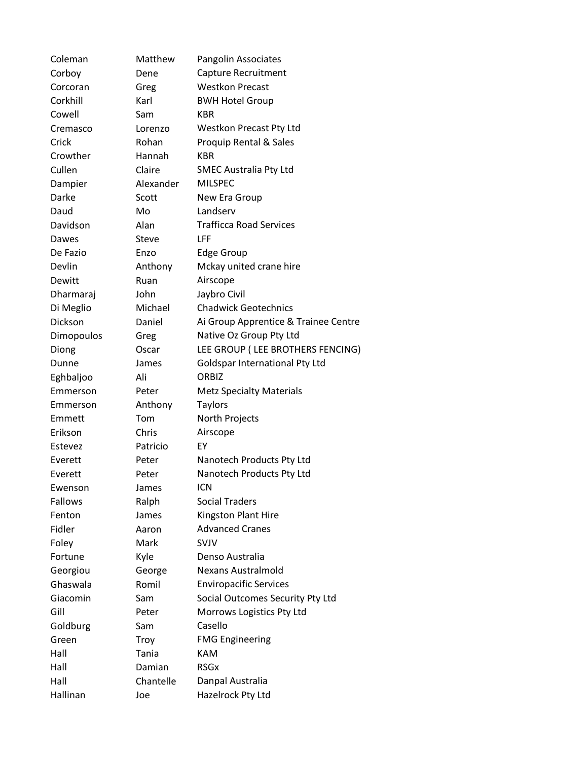| Coleman        | Matthew   | <b>Pangolin Associates</b>           |
|----------------|-----------|--------------------------------------|
| Corboy         | Dene      | Capture Recruitment                  |
| Corcoran       | Greg      | <b>Westkon Precast</b>               |
| Corkhill       | Karl      | <b>BWH Hotel Group</b>               |
| Cowell         | Sam       | <b>KBR</b>                           |
| Cremasco       | Lorenzo   | Westkon Precast Pty Ltd              |
| Crick          | Rohan     | Proquip Rental & Sales               |
| Crowther       | Hannah    | <b>KBR</b>                           |
| Cullen         | Claire    | <b>SMEC Australia Pty Ltd</b>        |
| Dampier        | Alexander | <b>MILSPEC</b>                       |
| Darke          | Scott     | New Era Group                        |
| Daud           | Mo        | Landserv                             |
| Davidson       | Alan      | <b>Trafficca Road Services</b>       |
| Dawes          | Steve     | LFF                                  |
| De Fazio       | Enzo      | <b>Edge Group</b>                    |
| Devlin         | Anthony   | Mckay united crane hire              |
| Dewitt         | Ruan      | Airscope                             |
| Dharmaraj      | John      | Jaybro Civil                         |
| Di Meglio      | Michael   | <b>Chadwick Geotechnics</b>          |
| Dickson        | Daniel    | Ai Group Apprentice & Trainee Centre |
| Dimopoulos     | Greg      | Native Oz Group Pty Ltd              |
| Diong          | Oscar     | LEE GROUP (LEE BROTHERS FENCING)     |
| Dunne          | James     | Goldspar International Pty Ltd       |
| Eghbaljoo      | Ali       | ORBIZ                                |
| Emmerson       | Peter     | <b>Metz Specialty Materials</b>      |
| Emmerson       | Anthony   | <b>Taylors</b>                       |
| Emmett         | Tom       | North Projects                       |
| Erikson        | Chris     | Airscope                             |
| Estevez        | Patricio  | EY                                   |
| Everett        | Peter     | Nanotech Products Pty Ltd            |
| Everett        | Peter     | Nanotech Products Pty Ltd            |
| Ewenson        | James     | icn                                  |
| <b>Fallows</b> | Ralph     | <b>Social Traders</b>                |
| Fenton         | James     | Kingston Plant Hire                  |
| Fidler         | Aaron     | <b>Advanced Cranes</b>               |
| Foley          | Mark      | SVJV                                 |
| Fortune        | Kyle      | Denso Australia                      |
| Georgiou       | George    | <b>Nexans Australmold</b>            |
| Ghaswala       | Romil     | <b>Enviropacific Services</b>        |
| Giacomin       | Sam       | Social Outcomes Security Pty Ltd     |
| Gill           | Peter     | Morrows Logistics Pty Ltd            |
| Goldburg       | Sam       | Casello                              |
| Green          | Troy      | <b>FMG Engineering</b>               |
| Hall           | Tania     | <b>KAM</b>                           |
| Hall           | Damian    | <b>RSG<sub>x</sub></b>               |
| Hall           | Chantelle | Danpal Australia                     |
| Hallinan       | Joe       | Hazelrock Pty Ltd                    |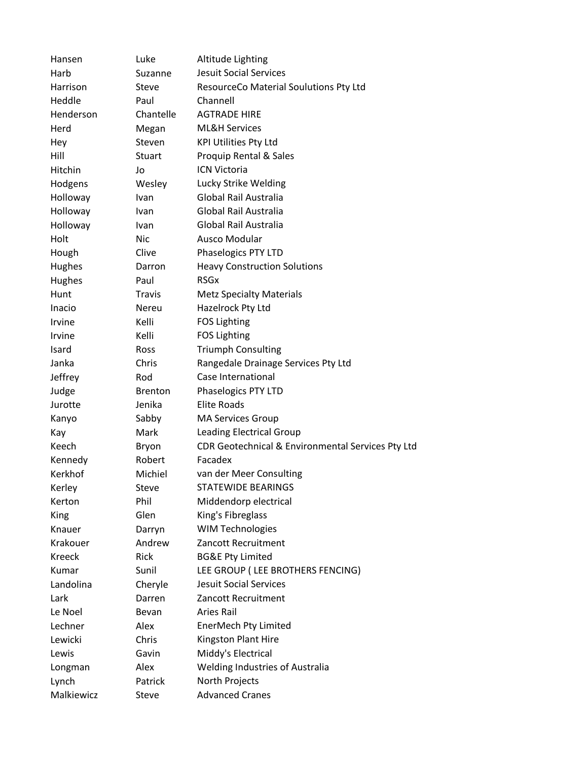| Hansen        | Luke           | Altitude Lighting                                 |
|---------------|----------------|---------------------------------------------------|
| Harb          | Suzanne        | <b>Jesuit Social Services</b>                     |
| Harrison      | Steve          | ResourceCo Material Soulutions Pty Ltd            |
| Heddle        | Paul           | Channell                                          |
| Henderson     | Chantelle      | <b>AGTRADE HIRE</b>                               |
| Herd          | Megan          | <b>ML&amp;H Services</b>                          |
| Hey           | Steven         | <b>KPI Utilities Pty Ltd</b>                      |
| Hill          | <b>Stuart</b>  | Proquip Rental & Sales                            |
| Hitchin       | Jo             | ICN Victoria                                      |
| Hodgens       | Wesley         | Lucky Strike Welding                              |
| Holloway      | Ivan           | Global Rail Australia                             |
| Holloway      | Ivan           | Global Rail Australia                             |
| Holloway      | Ivan           | Global Rail Australia                             |
| Holt          | Nic            | Ausco Modular                                     |
| Hough         | Clive          | Phaselogics PTY LTD                               |
| Hughes        | Darron         | <b>Heavy Construction Solutions</b>               |
| Hughes        | Paul           | <b>RSG<sub>x</sub></b>                            |
| Hunt          | <b>Travis</b>  | <b>Metz Specialty Materials</b>                   |
| Inacio        | <b>Nereu</b>   | Hazelrock Pty Ltd                                 |
| Irvine        | Kelli          | <b>FOS Lighting</b>                               |
| Irvine        | Kelli          | <b>FOS Lighting</b>                               |
| <b>Isard</b>  | Ross           | <b>Triumph Consulting</b>                         |
| Janka         | Chris          | Rangedale Drainage Services Pty Ltd               |
| Jeffrey       | Rod            | Case International                                |
| Judge         | <b>Brenton</b> | Phaselogics PTY LTD                               |
| Jurotte       | Jenika         | <b>Elite Roads</b>                                |
| Kanyo         | Sabby          | <b>MA Services Group</b>                          |
| Kay           | Mark           | <b>Leading Electrical Group</b>                   |
| Keech         | Bryon          | CDR Geotechnical & Environmental Services Pty Ltd |
| Kennedy       | Robert         | Facadex                                           |
| Kerkhof       | Michiel        | van der Meer Consulting                           |
| Kerley        | Steve          | STATEWIDE BEARINGS                                |
| Kerton        | Phil           | Middendorp electrical                             |
| King          | Glen           | King's Fibreglass                                 |
| Knauer        | Darryn         | <b>WIM Technologies</b>                           |
| Krakouer      | Andrew         | Zancott Recruitment                               |
| <b>Kreeck</b> | Rick           | <b>BG&amp;E Pty Limited</b>                       |
| Kumar         | Sunil          | LEE GROUP (LEE BROTHERS FENCING)                  |
| Landolina     | Cheryle        | <b>Jesuit Social Services</b>                     |
| Lark          | Darren         | Zancott Recruitment                               |
| Le Noel       | Bevan          | Aries Rail                                        |
| Lechner       | Alex           | EnerMech Pty Limited                              |
| Lewicki       | Chris          | Kingston Plant Hire                               |
| Lewis         | Gavin          | Middy's Electrical                                |
| Longman       | Alex           | <b>Welding Industries of Australia</b>            |
| Lynch         | Patrick        | North Projects                                    |
| Malkiewicz    | Steve          | <b>Advanced Cranes</b>                            |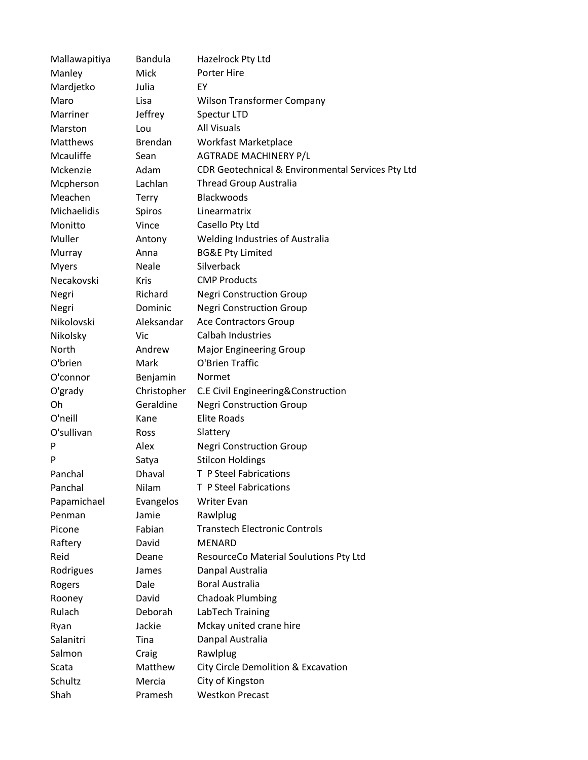| Mallawapitiya   | Bandula        | Hazelrock Pty Ltd                                 |
|-----------------|----------------|---------------------------------------------------|
| Manley          | <b>Mick</b>    | Porter Hire                                       |
| Mardjetko       | Julia          | EY                                                |
| Maro            | Lisa           | <b>Wilson Transformer Company</b>                 |
| Marriner        | Jeffrey        | Spectur LTD                                       |
| Marston         | Lou            | <b>All Visuals</b>                                |
| <b>Matthews</b> | <b>Brendan</b> | <b>Workfast Marketplace</b>                       |
| Mcauliffe       | Sean           | <b>AGTRADE MACHINERY P/L</b>                      |
| Mckenzie        | Adam           | CDR Geotechnical & Environmental Services Pty Ltd |
| Mcpherson       | Lachlan        | <b>Thread Group Australia</b>                     |
| Meachen         | Terry          | Blackwoods                                        |
| Michaelidis     | Spiros         | Linearmatrix                                      |
| Monitto         | Vince          | Casello Pty Ltd                                   |
| Muller          | Antony         | Welding Industries of Australia                   |
| Murray          | Anna           | <b>BG&amp;E Pty Limited</b>                       |
| Myers           | Neale          | Silverback                                        |
| Necakovski      | Kris           | <b>CMP Products</b>                               |
| Negri           | Richard        | <b>Negri Construction Group</b>                   |
| Negri           | Dominic        | <b>Negri Construction Group</b>                   |
| Nikolovski      | Aleksandar     | <b>Ace Contractors Group</b>                      |
| Nikolsky        | Vic            | Calbah Industries                                 |
| North           | Andrew         | <b>Major Engineering Group</b>                    |
| O'brien         | Mark           | O'Brien Traffic                                   |
| O'connor        | Benjamin       | Normet                                            |
| O'grady         | Christopher    | C.E Civil Engineering&Construction                |
| Oh              | Geraldine      | <b>Negri Construction Group</b>                   |
| O'neill         | Kane           | <b>Elite Roads</b>                                |
| O'sullivan      | <b>Ross</b>    | Slattery                                          |
| P               | Alex           | <b>Negri Construction Group</b>                   |
| P               | Satya          | <b>Stilcon Holdings</b>                           |
| Panchal         | Dhaval         | T P Steel Fabrications                            |
| Panchal         | Nilam          | T P Steel Fabrications                            |
| Papamichael     | Evangelos      | <b>Writer Evan</b>                                |
| Penman          | Jamie          | Rawlplug                                          |
| Picone          | Fabian         | <b>Transtech Electronic Controls</b>              |
| Raftery         | David          | <b>MENARD</b>                                     |
| Reid            | Deane          | ResourceCo Material Soulutions Pty Ltd            |
| Rodrigues       | James          | Danpal Australia                                  |
| Rogers          | Dale           | <b>Boral Australia</b>                            |
| Rooney          | David          | <b>Chadoak Plumbing</b>                           |
| Rulach          | Deborah        | LabTech Training                                  |
| Ryan            | Jackie         | Mckay united crane hire                           |
| Salanitri       | Tina           | Danpal Australia                                  |
| Salmon          | Craig          | Rawlplug                                          |
| Scata           | Matthew        | City Circle Demolition & Excavation               |
| Schultz         | Mercia         | City of Kingston                                  |
| Shah            | Pramesh        | <b>Westkon Precast</b>                            |